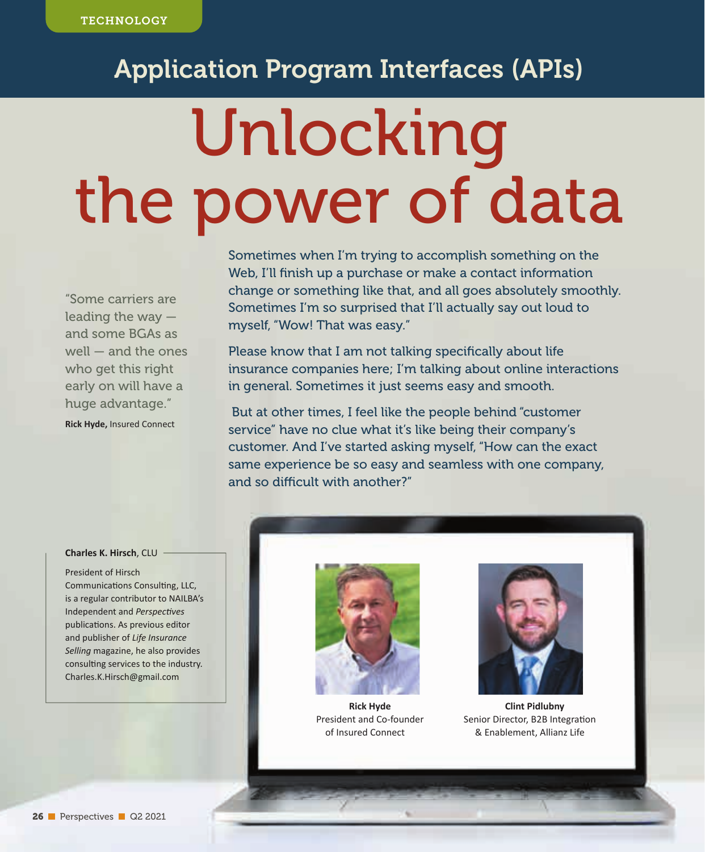## Application Program Interfaces (APIs)

# Unlocking the power of data

"Some carriers are leading the way and some BGAs as well — and the ones who get this right early on will have a huge advantage."

**Rick Hyde,** Insured Connect

Sometimes when I'm trying to accomplish something on the Web, I'll finish up a purchase or make a contact information change or something like that, and all goes absolutely smoothly. Sometimes I'm so surprised that I'll actually say out loud to myself, "Wow! That was easy."

Please know that I am not talking specifically about life insurance companies here; I'm talking about online interactions in general. Sometimes it just seems easy and smooth.

 But at other times, I feel like the people behind "customer service" have no clue what it's like being their company's customer. And I've started asking myself, "How can the exact same experience be so easy and seamless with one company, and so difficult with another?"

#### **Charles K. Hirsch**, CLU

President of Hirsch Communications Consulting, LLC, is a regular contributor to NAILBA's Independent and *Perspectives* publications. As previous editor and publisher of *Life Insurance Selling* magazine, he also provides consulting services to the industry. Charles.K.Hirsch@gmail.com



**Rick Hyde** President and Co-founder of Insured Connect



**Clint Pidlubny** Senior Director, B2B Integration & Enablement, Allianz Life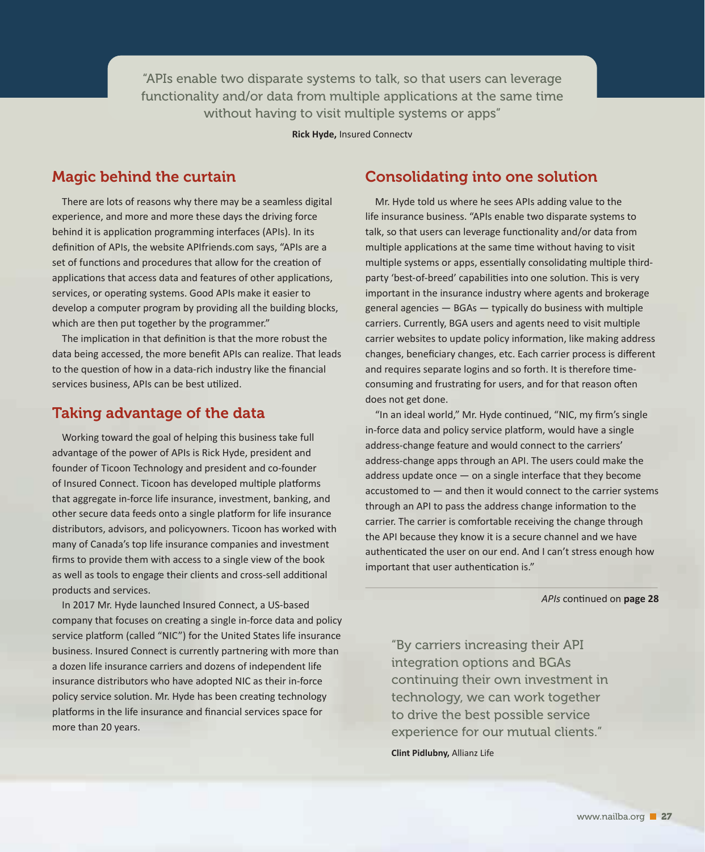"APIs enable two disparate systems to talk, so that users can leverage functionality and/or data from multiple applications at the same time without having to visit multiple systems or apps"

**Rick Hyde,** Insured Connectv

#### Magic behind the curtain

There are lots of reasons why there may be a seamless digital experience, and more and more these days the driving force behind it is application programming interfaces (APIs). In its definition of APIs, the website APIfriends.com says, "APIs are a set of functions and procedures that allow for the creation of applications that access data and features of other applications, services, or operating systems. Good APIs make it easier to develop a computer program by providing all the building blocks, which are then put together by the programmer."

The implication in that definition is that the more robust the data being accessed, the more benefit APIs can realize. That leads to the question of how in a data-rich industry like the financial services business, APIs can be best utilized.

#### Taking advantage of the data

Working toward the goal of helping this business take full advantage of the power of APIs is Rick Hyde, president and founder of Ticoon Technology and president and co-founder of Insured Connect. Ticoon has developed multiple platforms that aggregate in-force life insurance, investment, banking, and other secure data feeds onto a single platform for life insurance distributors, advisors, and policyowners. Ticoon has worked with many of Canada's top life insurance companies and investment firms to provide them with access to a single view of the book as well as tools to engage their clients and cross-sell additional products and services.

In 2017 Mr. Hyde launched Insured Connect, a US-based company that focuses on creating a single in-force data and policy service platform (called "NIC") for the United States life insurance business. Insured Connect is currently partnering with more than a dozen life insurance carriers and dozens of independent life insurance distributors who have adopted NIC as their in-force policy service solution. Mr. Hyde has been creating technology platforms in the life insurance and financial services space for more than 20 years.

### Consolidating into one solution

Mr. Hyde told us where he sees APIs adding value to the life insurance business. "APIs enable two disparate systems to talk, so that users can leverage functionality and/or data from multiple applications at the same time without having to visit multiple systems or apps, essentially consolidating multiple thirdparty 'best-of-breed' capabilities into one solution. This is very important in the insurance industry where agents and brokerage general agencies — BGAs — typically do business with multiple carriers. Currently, BGA users and agents need to visit multiple carrier websites to update policy information, like making address changes, beneficiary changes, etc. Each carrier process is different and requires separate logins and so forth. It is therefore timeconsuming and frustrating for users, and for that reason often does not get done.

"In an ideal world," Mr. Hyde continued, "NIC, my firm's single in-force data and policy service platform, would have a single address-change feature and would connect to the carriers' address-change apps through an API. The users could make the address update once — on a single interface that they become accustomed to — and then it would connect to the carrier systems through an API to pass the address change information to the carrier. The carrier is comfortable receiving the change through the API because they know it is a secure channel and we have authenticated the user on our end. And I can't stress enough how important that user authentication is."

*APIs* continued on **page 28**

"By carriers increasing their API integration options and BGAs continuing their own investment in technology, we can work together to drive the best possible service experience for our mutual clients." **Clint Pidlubny,** Allianz Life